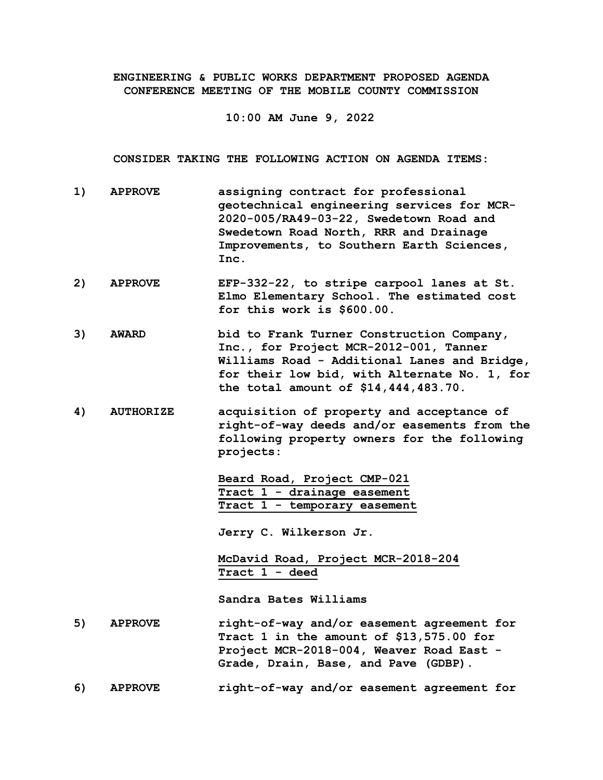**ENGINEERING & PUBLIC WORKS DEPARTMENT PROPOSED AGENDA CONFERENCE MEETING OF THE MOBILE COUNTY COMMISSION**

**10:00 AM June 9, 2022**

**CONSIDER TAKING THE FOLLOWING ACTION ON AGENDA ITEMS:**

- **1) APPROVE assigning contract for professional geotechnical engineering services for MCR-2020-005/RA49-03-22, Swedetown Road and Swedetown Road North, RRR and Drainage Improvements, to Southern Earth Sciences, Inc.**
- **2) APPROVE EFP-332-22, to stripe carpool lanes at St. Elmo Elementary School. The estimated cost for this work is \$600.00.**
- **3) AWARD bid to Frank Turner Construction Company, Inc., for Project MCR-2012-001, Tanner Williams Road - Additional Lanes and Bridge, for their low bid, with Alternate No. 1, for the total amount of \$14,444,483.70.**
- **4) AUTHORIZE acquisition of property and acceptance of right-of-way deeds and/or easements from the following property owners for the following projects:**

**Beard Road, Project CMP-021 Tract 1 - drainage easement Tract 1 - temporary easement**

**Jerry C. Wilkerson Jr.**

**McDavid Road, Project MCR-2018-204 Tract 1 - deed**

**Sandra Bates Williams**

- **5) APPROVE right-of-way and/or easement agreement for Tract 1 in the amount of \$13,575.00 for Project MCR-2018-004, Weaver Road East - Grade, Drain, Base, and Pave (GDBP).**
- **6) APPROVE right-of-way and/or easement agreement for**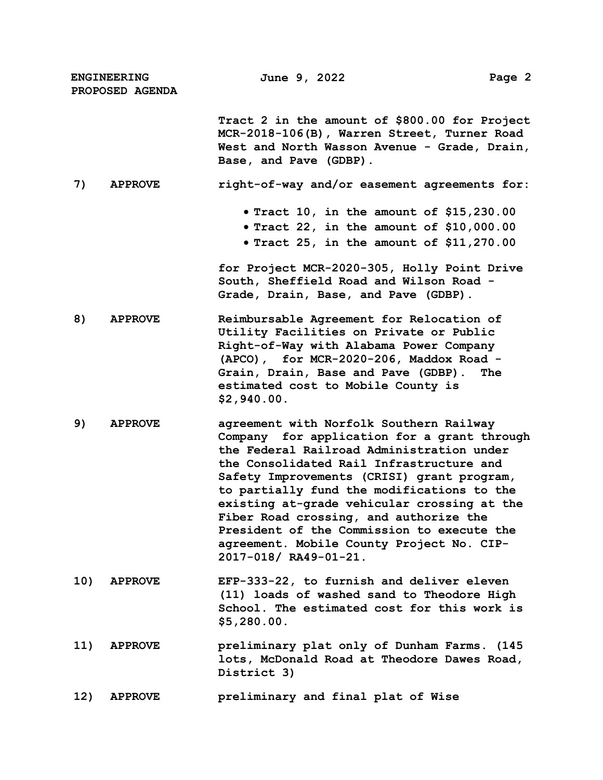| <b>ENGINEERING</b><br>PROPOSED AGENDA |                | June 9, 2022                                                                                                                                                                                                                                                                                                                                                                                                                                                                             | Page 2 |
|---------------------------------------|----------------|------------------------------------------------------------------------------------------------------------------------------------------------------------------------------------------------------------------------------------------------------------------------------------------------------------------------------------------------------------------------------------------------------------------------------------------------------------------------------------------|--------|
|                                       |                | Tract 2 in the amount of \$800.00 for Project<br>MCR-2018-106(B), Warren Street, Turner Road<br>West and North Wasson Avenue - Grade, Drain,<br>Base, and Pave (GDBP).                                                                                                                                                                                                                                                                                                                   |        |
| 7)                                    | <b>APPROVE</b> | right-of-way and/or easement agreements for:                                                                                                                                                                                                                                                                                                                                                                                                                                             |        |
|                                       |                | • Tract 10, in the amount of $$15,230.00$<br>$\bullet$ Tract 22, in the amount of \$10,000.00<br>• Tract 25, in the amount of $$11,270.00$                                                                                                                                                                                                                                                                                                                                               |        |
|                                       |                | for Project MCR-2020-305, Holly Point Drive<br>South, Sheffield Road and Wilson Road -<br>Grade, Drain, Base, and Pave (GDBP).                                                                                                                                                                                                                                                                                                                                                           |        |
| 8)                                    | <b>APPROVE</b> | Reimbursable Agreement for Relocation of<br>Utility Facilities on Private or Public<br>Right-of-Way with Alabama Power Company<br>(APCO), for MCR-2020-206, Maddox Road -<br>Grain, Drain, Base and Pave (GDBP).<br>estimated cost to Mobile County is<br>\$2,940.00.                                                                                                                                                                                                                    | The    |
| 9)                                    | <b>APPROVE</b> | agreement with Norfolk Southern Railway<br>Company for application for a grant through<br>the Federal Railroad Administration under<br>the Consolidated Rail Infrastructure and<br>Safety Improvements (CRISI) grant program,<br>to partially fund the modifications to the<br>existing at-grade vehicular crossing at the<br>Fiber Road crossing, and authorize the<br>President of the Commission to execute the<br>agreement. Mobile County Project No. CIP-<br>2017-018/ RA49-01-21. |        |
| 10)                                   | <b>APPROVE</b> | EFP-333-22, to furnish and deliver eleven<br>(11) loads of washed sand to Theodore High<br>School. The estimated cost for this work is<br>\$5,280.00.                                                                                                                                                                                                                                                                                                                                    |        |
| 11)                                   | <b>APPROVE</b> | preliminary plat only of Dunham Farms. (145<br>lots, McDonald Road at Theodore Dawes Road,<br>District 3)                                                                                                                                                                                                                                                                                                                                                                                |        |
| 12)                                   | <b>APPROVE</b> | preliminary and final plat of Wise                                                                                                                                                                                                                                                                                                                                                                                                                                                       |        |